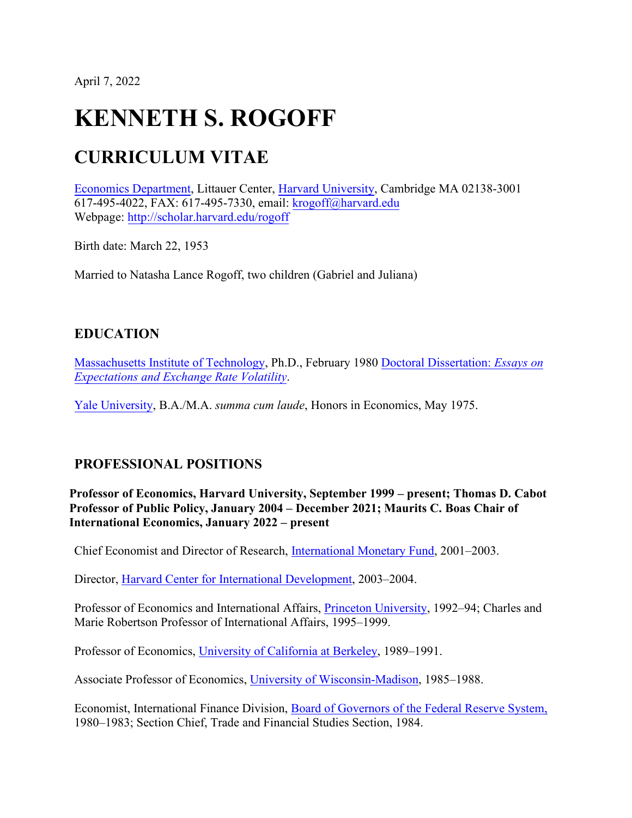April 7, 2022

# **KENNETH S. ROGOFF**

## **CURRICULUM VITAE**

[Economics Department, L](http://www.economics.harvard.edu/)ittauer Center, [Harvard University,](http://www.harvard.edu/) Cambridge MA 02138-3001 617-495-4022, FAX: 617-495-7330, email: [krogoff@harvard.edu](mailto:krogoff@harvard.edu) Webpage: <http://scholar.harvard.edu/rogoff>

Birth date: March 22, 1953

Married to Natasha Lance Rogoff, two children (Gabriel and Juliana)

## **EDUCATION**

[Massachusetts Institute of Technology,](http://web.mit.edu/economics/www/) Ph.D., February 1980 [Doctoral Dissertation:](http://scholar.harvard.edu/files/Thesis_Related.html) *Essays on [Expectations and Exchange Rate Volatility](http://scholar.harvard.edu/files/Thesis_Related.html)*.

[Yale University, B](http://www.yale.edu/).A./M.A. *summa cum laude*, Honors in Economics, May 1975.

## **PROFESSIONAL POSITIONS**

**Professor of Economics, Harvard University, September 1999 – present; Thomas D. Cabot Professor of Public Policy, January 2004 – December 2021; Maurits C. Boas Chair of International Economics, January 2022 – present**

Chief Economist and Director of Research, [International Monetary Fund, 2](http://www.imf.org/external/np/bio/eng/kr.htm)001–2003.

Director, [Harvard Center for International Development,](http://www.cid.harvard.edu/) 2003–2004.

Professor of Economics and International Affairs, *Princeton University*, 1992–94; Charles and Marie Robertson Professor of International Affairs, 1995–1999.

Professor of Economics, University [of California at Berkeley, 1](http://emlab.berkeley.edu/econ/)989–1991.

Associate Professor of Economics, [University of Wisconsin-Madison,](http://www.econ.wisc.edu/) 1985–1988.

Economist, International Finance Division, [Board of Governors of the Federal Reserve System,](http://www.federalreserve.gov/) 1980–1983; Section Chief, Trade and Financial Studies Section, 1984.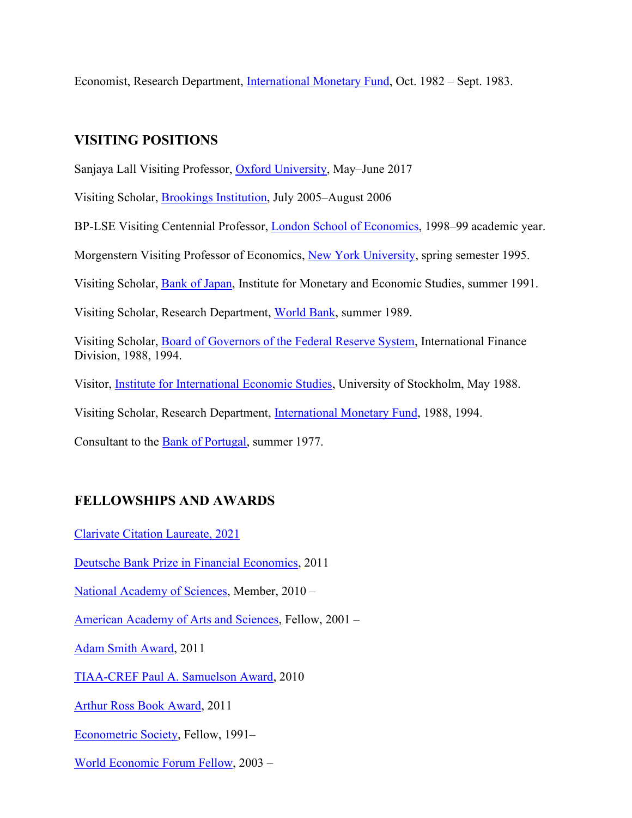Economist, Research Department, [International Monetary Fund, O](http://www.imf.org/)ct. 1982 – Sept. 1983.

## **VISITING POSITIONS**

Sanjaya Lall Visiting Professor, [Oxford University, M](https://www.economics.ox.ac.uk/)ay–June 2017

Visiting Scholar, [Brookings Institution,](http://www.brookings.edu/) July 2005–August 2006

BP-LSE Visiting Centennial Professor, [London School of Economics, 1](http://econ.lse.ac.uk/)998–99 academic year.

Morgenstern Visiting Professor of Economics, [New York University, s](http://www.econ.nyu.edu/)pring semester 1995.

Visiting Scholar, [Bank of Japan, I](http://www.boj.or.jp/en/index.htm)nstitute for Monetary and Economic Studies, summer 1991.

Visiting Scholar, Research Department, [World Bank,](http://www.worldbank.org/) summer 1989.

Visiting Scholar, [Board of Governors of the Federal Reserve System,](http://www.federalreserve.gov/) International Finance Division, 1988, 1994.

Visitor, [Institute for International Economic Studies,](http://www.iies.su.se/) University of Stockholm, May 1988.

Visiting Scholar, Research Department, [International Monetary Fund, 1](http://www.imf.org/)988, 1994.

Consultant to the **Bank of Portugal**, summer 1977.

## **FELLOWSHIPS AND AWARDS**

[Clarivate Citation Laureate, 2021](https://clarivate.com/news/clarivate-unveils-citation-laureates-2021/)

[Deutsche Bank Prize in Financial Economics,](https://www.ifk-cfs.de/dbprize/2011) 2011

[National Academy of Sciences, M](http://www.nasonline.org/site/PageServer)ember, 2010 –

[American Academy of Arts and Sciences,](http://www.amacad.org/default.aspx) Fellow, 2001 –

[Adam Smith Award,](http://nabe-web.com/publib/news/11/08/04.html) 2011

[TIAA-CREF Paul A. Samuelson Award, 2](http://www.tiaa-cref.org/public/about/press/about_us/releases/pressrelease370.html)010

[Arthur Ross Book Award,](http://www.cfr.org/about/arthur_ross.html) 2011

[Econometric Society, F](http://www.econometricsociety.org/fellows.asp)ellow, 1991–

[World Economic Forum Fellow, 2](http://www.weforum.org/)003 –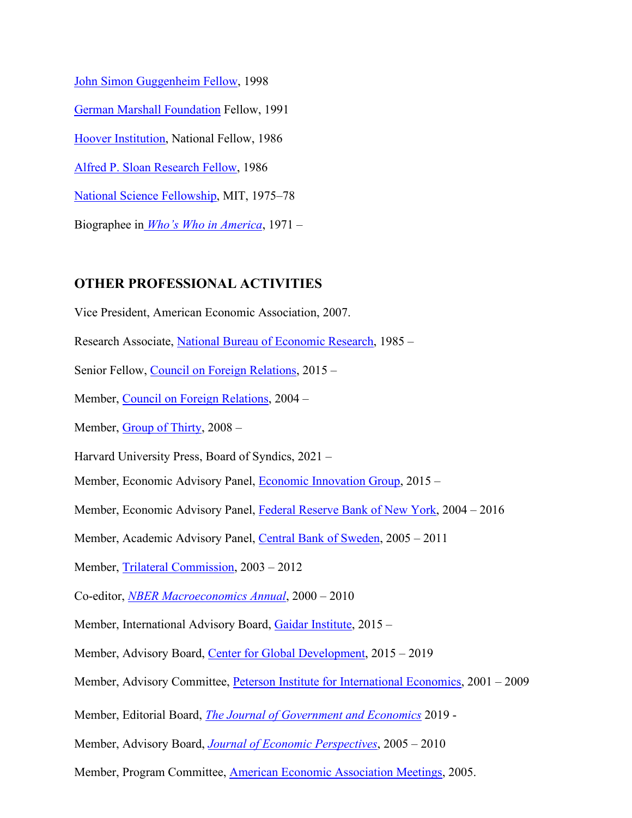[John Simon Guggenheim Fellow, 1](http://www.gf.org/)998 [German Marshall Foundation F](http://www.gmfus.org/about/index.cfm)ellow, 1991 [Hoover Institution, N](http://www.hoover.org/)ational Fellow, 1986 [Alfred P. Sloan Research Fellow, 1](http://www.sloan.org/)986 [National Science Fellowship,](http://www.nsf.gov/) MIT, 1975–78 Biographee in *[Who's Who in America](http://www.marquiswhoswho.com/)*, 1971 –

#### **OTHER PROFESSIONAL ACTIVITIES**

Vice President, American Economic Association, 2007.

Research Associate, [National Bureau of Economic Research, 1](http://www.nber.org/)985 –

Senior Fellow, [Council on Foreign Relations,](http://www.cfr.org/) 2015 –

Member, [Council on Foreign Relations, 2](http://www.cfr.org/)004 –

Member, [Group of Thirty, 2](http://www.group30.org/)008 –

Harvard University Press, Board of Syndics, 2021 –

Member, Economic Advisory Panel, [Economic Innovation Group, 2](https://eig.org/)015 –

Member, Economic Advisory Panel, [Federal Reserve Bank of New York,](http://www.ny.frb.org/) 2004 – 2016

Member, Academic Advisory Panel, [Central Bank of Sweden, 2](http://www.riksbank.com/)005 – 2011

Member, [Trilateral Commission,](http://www.trilateral.org/) 2003 – 2012

Co-editor, *[NBER Macroeconomics Annual](http://www.google.com/u/nber?q=nber%2Bmacroeconomics%2Bannual&%3Bdomains=nber.org&%3Bsitesearch=nber.org)*, 2000 – 2010

Member, International Advisory Board, [Gaidar Institute,](http://iep.ru/en) 2015 -

Member, Advisory Board, [Center for Global Development,](http://www.cgdev.org/page/advisory-group) 2015 – 2019

Member, Advisory Committee, *Peterson Institute for International Economics*, 2001 – 2009

Member, Editorial Board, *[The Journal of Government and Economics](https://www.ejge.org/)* 2019 -

Member, Advisory Board, *[Journal of Economic Perspectives](http://www.aeaweb.org/jep/)*, 2005 – 2010

Member, Program Committee, [American Economic Association Meetings,](http://www.vanderbilt.edu/AEA/) 2005.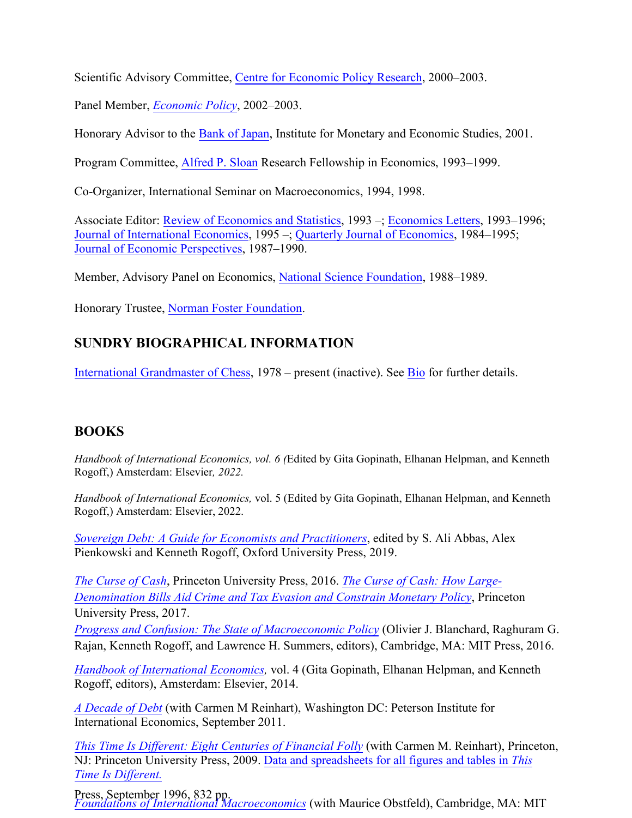Scientific Advisory Committee, Centre for [Economic Policy Research, 2](http://www.cepr.org/)000–2003.

Panel Member, *[Economic Policy](http://www.economic-policy.org/)*, 2002–2003.

Honorary Advisor to the [Bank of Japan, I](http://www.boj.or.jp/en/index.htm)nstitute for Monetary and Economic Studies, 2001.

Program Committee, [Alfred P. Sloan Re](http://www.sloan.org/)search Fellowship in Economics, 1993–1999.

Co-Organizer, International Seminar on Macroeconomics, 1994, 1998.

Associate Editor: Review of [Economics and](http://mitpress.mit.edu/content/review-economics-and-statistics) Statistics, 1993 –; [Economics Letters,](http://www.elsevier.com/wps/find/journaldescription.cws_home/505574/description#description) 1993–1996; [Journal of International Economics,](http://www.journals.elsevier.com/journal-of-international-economics/) 1995 –; [Quarterly Journal of Economics,](http://qje.oxfordjournals.org/) 1984–1995; [Journal of Economic Perspectives,](http://www.aeaweb.org/jep/) 1987–1990.

Member, Advisory Panel on Economics[, National Science Foundation, 1](http://www.nsf.gov/)988–1989.

Honorary Trustee, [Norman Foster Foundation.](http://www.normanfosterfoundation.org/about/mission/governance/) 

## **SUNDRY BIOGRAPHICAL INFORMATION**

[International Grandmaster of Chess,](http://www.fide.com/) 1978 – present (inactive). See [Bio](http://scholar.harvard.edu/rogoff/pages/biography) for further details.

## **BOOKS**

*Handbook of International Economics, vol. 6 (*Edited by Gita Gopinath, Elhanan Helpman, and Kenneth Rogoff,) Amsterdam: Elsevier*, 2022.* 

*[Handbook of International Economics,](https://global.oup.com/academic/product/sovereign-debt-9780198850823?cc=us&lang=en)* vol. 5 (Edited by Gita Gopinath, Elhanan Helpman, and Kenneth Rogoff,) Amsterdam: Elsevier, 2022.

*[Sovereign Debt: A G](http://press.princeton.edu/titles/10798.html)uide for Economists and Practitioners*[, edited by S. Ali Abbas, Al](http://press.princeton.edu/titles/11148.html)ex [Pienkowski and Kenneth Rogoff, Oxford University Press, 2019.](http://press.princeton.edu/titles/11148.html) 

*The Curse of Cash*, Princeton University Press, 2016. *The Curse of Cash: How Large-[Denomination Bills Aid Crime and Tax Evasion and Constrain](https://mitpress.mit.edu/books/progress-and-confusion) Monetary Policy*, Princeton University Press, 2017.

*Progress and Confusion: The State of Macroeconomic Policy* (Olivier J. Blanchard, Raghuram G. [Rajan, Kenneth Rogoff, and Lawrence H](http://www.sciencedirect.com/science/handbooks/15734404). Summers, editors), Cambridge, MA: MIT Press, 2016.

*Handbook of International Economics,* vol. 4 (Gita Gopinath, Elhanan Helpman, and Kenneth [Rogoff, editors\), A](http://bookstore.piie.com/book-store/6222.html)msterdam: Elsevier, 2014.

*A Decade of Debt* (with Carmen M Reinhart), Washington DC: Peterson Institute for [International Economics, September 2011.](http://press.princeton.edu/titles/8973.html) 

*[This Time Is Differ](http://www.carmenreinhart.com/this-time-is-different/)ent: Eight Centuries of Financial Folly* [\(with Carmen M. Reinhart\), Prince](http://www.carmenreinhart.com/this-time-is-different/)ton, NJ: Princeton University Press, 2009. Data and spreadsheets for all figures and tables in *This [Time Is Different.](http://scholar.harvard.edu/rogoff/publications/foundations-international-macroeconomics)*

Press, September 1996, 832 pp. *Foundations of International Macroeconomics* (with Maurice Obstfeld), Cambridge, MA: MIT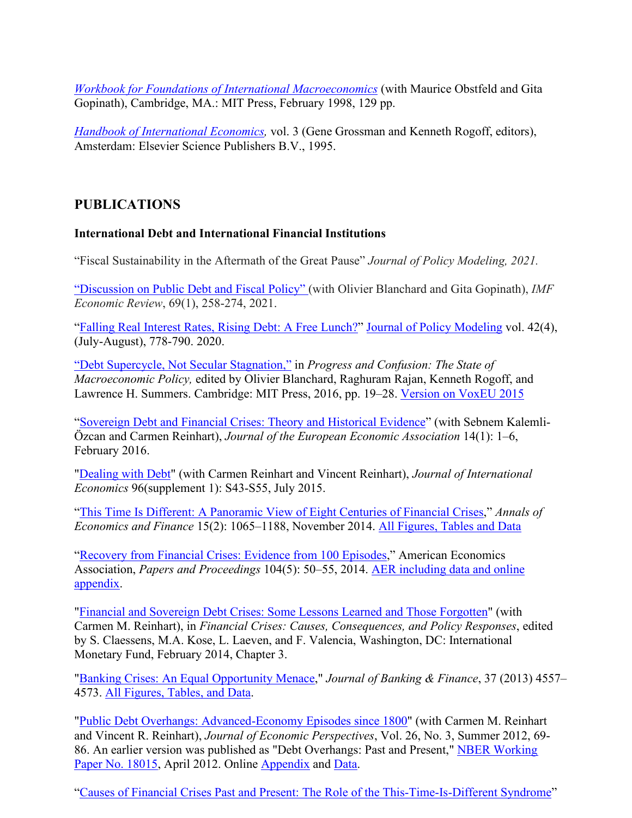*[Workbook for Foundations of International Macroeconomics](http://scholar.harvard.edu/rogoff/publications/workbook-foundations-international-macroeconomics)* (with Maurice Obstfeld and Gita Gopinath), Cambridge, MA.: MIT Press, February 1998, 129 pp.

*[Handbook of International Economics,](http://www.elsevier.com/wps/find/bookdescription.cws_home/601086/description#description)* vol. 3 (Gene Grossman and Kenneth Rogoff, editors), Amsterdam: Elsevier Science Publishers B.V., 1995.

## **PUBLICATIONS**

#### **International Debt and International Financial Institutions**

"Fiscal Sustainability in the Aftermath of the Great Pause" *Journal of Policy Modeling, 2021.*

["Discussion on Public Debt and Fiscal Policy" \(](http://link.springer.com/10.1057/s41308-020-00116-2)with Olivier Blanchard and Gita Gopinath), *IMF Economic Review*, 69(1), 258-274, 2021.

["Falling Real Interest Rates, Rising Debt: A Free Lunch?"](https://scholar.harvard.edu/rogoff/publications/falling-real-interest-rates-rising-debt-free-lunch) [Journal of Policy Modeling](https://doi.org/10.1016/j.jpolmod.2020.03.004) vol. 42(4), (July-August), 778-790. 2020.

["Debt Supercycle, Not Secular Stagnation,"](https://scholar.harvard.edu/rogoff/publications/debt-supercycle-not-secular-stagnation-0) in *Progress and Confusion: The State of Macroeconomic Policy,* edited by Olivier Blanchard, Raghuram Rajan, Kenneth Rogoff, and Lawrence H. Summers. Cambridge: MIT Press, 2016, pp. 19–28. [Version on VoxEU 2015](http://www.voxeu.org/article/debt-supercycle-not-secular-stagnation)

["Sovereign Debt and Financial Crises: Theory and Historical Evidence"](http://www.dx.doi.org/10.1111/jeea.12167) (with Sebnem Kalemli-Özcan and Carmen Reinhart), *Journal of the European Economic Association* 14(1): 1–6, February 2016.

["Dealing with Debt"](http://dx.doi.org/10.1016/j.jinteco.2014.11.001) (with Carmen Reinhart and Vincent Reinhart), *Journal of International Economics* 96(supplement 1): S43-S55, July 2015.

["This Time Is Different: A Panoramic View of Eight Centuries of Financial Crises,](http://scholar.harvard.edu/rogoff/publications/time-different-panoramic-view-eight-centuries-financial-crises)" *Annals of Economics and Finance* 15(2): 1065–1188, November 2014. [All Figures, Tables and Data](http://www.carmenreinhart.com/user_uploads/data/54_data.xls)

["Recovery from Financial Crises: Evidence from 100 Episodes,"](http://scholar.harvard.edu/rogoff/publications/recovery-financial-crises-evidence-100-episodes) American Economics Association, *Papers and Proceedings* 104(5): 50–55, 2014. [AER including data and online](http://doi.org/10.1257/aer.104.5.50) [appendix.](http://doi.org/10.1257/aer.104.5.50)

["Financial and Sovereign Debt Crises: Some Lessons Learned and Those Forgotten"](http://scholar.harvard.edu/rogoff/publications) (with Carmen M. Reinhart), in *Financial Crises: Causes, Consequences, and Policy Responses*, edited by S. Claessens, M.A. Kose, L. Laeven, and F. Valencia, Washington, DC: International Monetary Fund, February 2014, Chapter 3.

["Banking Crises: An Equal Opportunity Menace,"](http://www.sciencedirect.com.ezp-prod1.hul.harvard.edu/science/article/pii/S0378426613001362) *Journal of Banking & Finance*, 37 (2013) 4557– 4573. [All Figures, Tables, and Data.](http://www.carmenreinhart.com/user_uploads/data/55_data.xls)

"Public Debt Overhangs: Advanced-Economy Episodes since 1800" (with Carmen M. Reinhart and Vincent R. Reinhart), *Journal of Economic Perspectives*, Vol. 26, No. 3, Summer 2012, 69- 86. An earlier version was published as "Debt Overhangs: Past and Present," NBER [Working](http://www.nber.org/papers/w18015) [Paper No. 18015,](http://www.nber.org/papers/w18015) April 2012. Online [Appendix](https://www.aeaweb.org/jep/app/2603_reinhart_rogoff_app.pdf) and [Data.](https://www.aeaweb.org/jep/app/2603_Reinhart_Rogoff_data_9_11.zip)

["Causes of Financial Crises Past and Present: The Role of the This-Time-Is-Different Syndrome"](http://www.amazon.com/Occupy-Handbook-Janet-Byrne/dp/0316220213)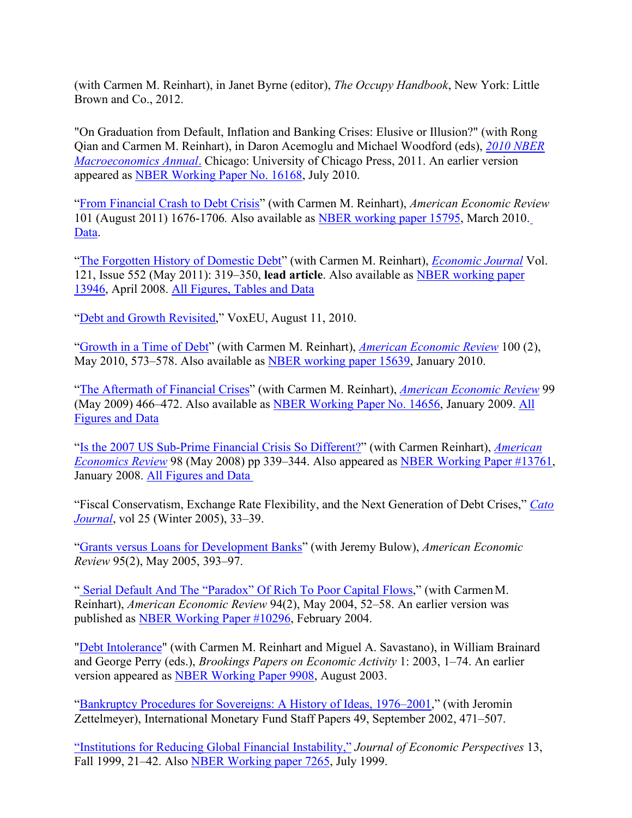(with Carmen M. Reinhart), in Janet Byrne (editor), *The Occupy Handbook*, New York: Little Brown and Co., 2012.

"On Graduation from Default, Inflation and Banking Crises: Elusive or Illusion?" (with Rong Qian and Carmen M. Reinhart), in Daron Acemoglu and Michael Woodford (eds), *[2010 NBER](http://www.nber.org/books/acem10-1) [Macroeconomics Annual](http://www.nber.org/books/acem10-1)*. Chicago: University of Chicago Press, 2011. An earlier version appeared as [NBER Working Paper No. 16168,](http://papers.nber.org/papers/W16168) July 2010.

["From Financial Crash to Debt Crisis"](http://scholar.harvard.edu/files/rogoff/files/from_financial_crash.pdf) (with Carmen M. Reinhart), *American Economic Review* 101 (August 2011) 1676-1706*.* Also available as [NBER working paper 15795,](http://www.nber.org/papers/w15795) March 2010[.](http://www.carmenreinhart.com/user_uploads/data/223_data.xls) [Data.](http://www.carmenreinhart.com/user_uploads/data/223_data.xls)

["The Forgotten History of Domestic Debt"](http://scholar.harvard.edu/files/rogoff/files/forgotten_history_of_domestic_debt.pdf) (with Carmen M. Reinhart), *[Economic Journal](http://onlinelibrary.wiley.com.ezp-prod1.hul.harvard.edu/doi/10.1111/j.1468-0297.2011.02426.x/pdf)* Vol. 121, Issue 552 (May 2011): 319–350, **lead article**. Also available as [NBER working paper](http://www.nber.org/papers/w13946) [13946,](http://www.nber.org/papers/w13946) April 2008. [All Figures, Tables and Data](http://www.carmenreinhart.com/user_uploads/data/53_data.xls)

"Debt and Growth Revisited," VoxEU, August 11, 2010.

["Growth in a Time of Debt"](http://scholar.harvard.edu/files/rogoff/files/growth_in_time_debt_aer.pdf) (with Carmen M. Reinhart), *[American Economic Review](http://pubs.aeaweb.org.ezp-prod1.hul.harvard.edu/doi/pdfplus/10.1257/aer.100.2.573)* 100 (2), May 2010, 573–578. Also available as [NBER working paper 15639,](http://www.nber.org/papers/w15639) January 2010.

["The Aftermath of Financial Crises"](http://scholar.harvard.edu/files/rogoff/files/aftermath.pdf) (with Carmen M. Reinhart), *American Economic Review* 99 (May 2009) 466–472. Also available as [NBER Working Paper No. 14656,](http://papers.nber.org/papers/W14656) January 2009. [All](http://www.carmenreinhart.com/user_uploads/data/51_data.xls) [Figures and Data](http://www.carmenreinhart.com/user_uploads/data/51_data.xls)

["Is the 2007 US Sub-Prime Financial Crisis So Different?"](http://scholar.harvard.edu/files/rogoff/files/is_the_us_subprime_crisis_so_different.pdf) (with Carmen Reinhart), *American Economics Review* 98 (May 2008) pp 339–344. Also appeared as [NBER Working Paper #13761,](http://www.nber.org/papers/w13761) January 2008. All Figures and Data

"Fiscal Conservatism, Exchange Rate Flexibility, and the Next Generation of Debt Crises," *[Cato](http://www.cato.org/sites/cato.org/files/serials/files/cato-journal/2005/1/cj25n1-5.pdf) [Journal](http://www.cato.org/sites/cato.org/files/serials/files/cato-journal/2005/1/cj25n1-5.pdf)*, vol 25 (Winter 2005), 33–39.

["Grants versus Loans for Development Banks"](http://scholar.harvard.edu/files/rogoff/files/aer2005.pdf) (with Jeremy Bulow), *American Economic Review* 95(2), May 2005, 393–97.

" [Serial Default And The "Paradox" Of Rich To Poor Capital Flows,](http://scholar.harvard.edu/files/rogoff/files/51_aer2004.pdf)" (with CarmenM. Reinhart), *American Economic Review* 94(2), May 2004, 52–58. An earlier version was published as [NBER Working Paper #10296,](http://www.nber.org/papers/w10296) February 2004.

["Debt Intolerance"](http://scholar.harvard.edu/files/rogoff/files/51_bpea2003.pdf) (with Carmen M. Reinhart and Miguel A. Savastano), in William Brainard and George Perry (eds.), *Brookings Papers on Economic Activity* 1: 2003, 1–74. An earlier version appeared as [NBER Working Paper 9908, A](http://papers.nber.org/papers/W9908)ugust 2003.

["Bankruptcy Procedures for Sovereigns: A History of Ideas, 1976–2001,"](http://www.imf.org/external/pubs/ft/staffp/2002/03/rogoff.htm) (with Jeromin Zettelmeyer), International Monetary Fund Staff Papers 49, September 2002, 471–507.

["Institutions for Reducing Global Financial Instability,"](http://scholar.harvard.edu/files/rogoff/files/51_jep99.pdf) *Journal of Economic Perspectives* 13, Fall 1999, 21–42. Also [NBER Working paper 7265,](http://papers.nber.org/papers/W7265) July 1999.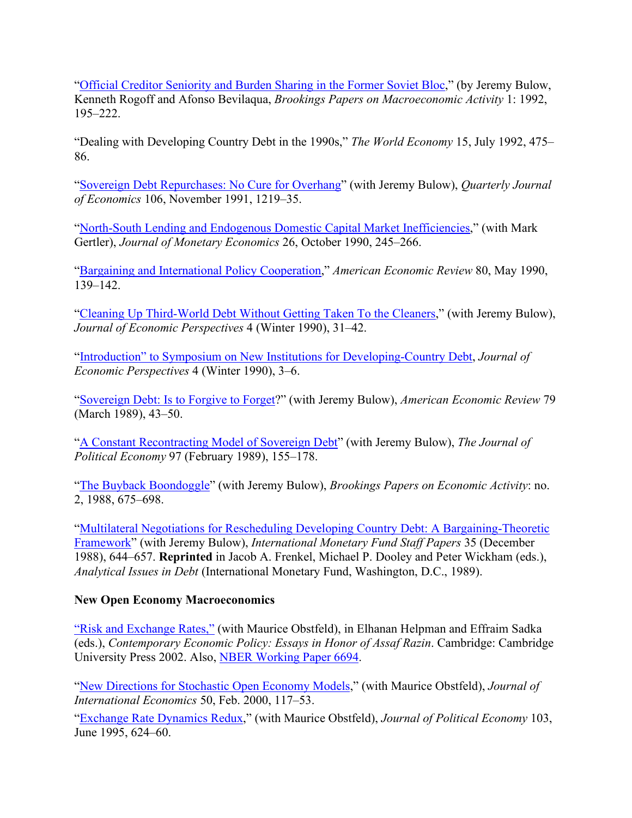["Official Creditor Seniority and Burden Sharing in the Former Soviet Bloc,"](http://scholar.harvard.edu/files/rogoff/files/51_bpea92.pdf) (by Jeremy Bulow, Kenneth Rogoff and Afonso Bevilaqua, *Brookings Papers on Macroeconomic Activity* 1: 1992, 195–222.

"Dealing with Developing Country Debt in the 1990s," *The World Economy* 15, July 1992, 475– 86.

["Sovereign Debt Repurchases: No Cure for Overhang" \(](http://scholar.harvard.edu/files/rogoff/files/51_qje91.pdf)with Jeremy Bulow), *Quarterly Journal of Economics* 106, November 1991, 1219–35.

["North-South Lending and Endogenous Domestic Capital Market Inefficiencies,"](http://scholar.harvard.edu/files/rogoff/files/jme1990.pdf) (with Mark Gertler), *Journal of Monetary Economics* 26, October 1990, 245–266.

["Bargaining and International Policy Cooperation,"](http://scholar.harvard.edu/files/rogoff/files/aer90may.pdf) *American Economic Review* 80, May 1990, 139–142.

["Cleaning Up Third-World Debt Without Getting Taken To the Cleaners,"](http://scholar.harvard.edu/files/rogoff/files/51_jep90.pdf) (with Jeremy Bulow), *Journal of Economic Perspectives* 4 (Winter 1990), 31–42.

"Introduction" to Symposium on [New Institutions for Developing-Country Debt,](http://scholar.harvard.edu/files/rogoff/files/51_jep90b.pdf) *Journal of Economic Perspectives* 4 (Winter 1990), 3–6.

["Sovereign Debt: Is to Forgive to Forget?"](http://scholar.harvard.edu/files/rogoff/files/51_aer1989.pdf) (with Jeremy Bulow), *American Economic Review* 79 (March 1989), 43–50.

["A Constant Recontracting Model of Sovereign Debt" \(](http://scholar.harvard.edu/files/rogoff/files/51_jpe89.pdf)with Jeremy Bulow), *The Journal of Political Economy* 97 (February 1989), 155–178.

["The Buyback Boondoggle" \(](http://scholar.harvard.edu/files/rogoff/files/51_bpea88.pdf)with Jeremy Bulow), *Brookings Papers on Economic Activity*: no. 2, 1988, 675–698.

["Multilateral Negotiations for Rescheduling Developing Country Debt: A Bargaining-Theoretic](http://scholar.harvard.edu/files/rogoff/files/51_imf1988.pdf) [Framework"](http://scholar.harvard.edu/files/rogoff/files/51_imf1988.pdf) (with Jeremy Bulow), *International Monetary Fund Staff Papers* 35 (December 1988), 644–657. **Reprinted** in Jacob A. Frenkel, Michael P. Dooley and Peter Wickham (eds.), *Analytical Issues in Debt* (International Monetary Fund, Washington, D.C., 1989).

#### **New Open Economy Macroeconomics**

["Risk and Exchange Rates,"](http://scholar.harvard.edu/files/rogoff/files/risk_and_exchange_rates.pdf) (with Maurice Obstfeld), in Elhanan Helpman and Effraim Sadka (eds.), *Contemporary Economic Policy: Essays in Honor of Assaf Razin*. Cambridge: Cambridge University Press 2002. Also, [NBER Working Paper 6694.](http://www.nber.org/papers/W6694)

["New Directions for Stochastic Open Economy Models,"](http://scholar.harvard.edu/files/rogoff/files/51_jie2000.pdf) (with Maurice Obstfeld), *Journal of International Economics* 50, Feb. 2000, 117–53.

["Exchange Rate Dynamics Redux,](http://scholar.harvard.edu/files/rogoff/files/51_jpe95.pdf)" (with Maurice Obstfeld), *Journal of Political Economy* 103, June 1995, 624–60.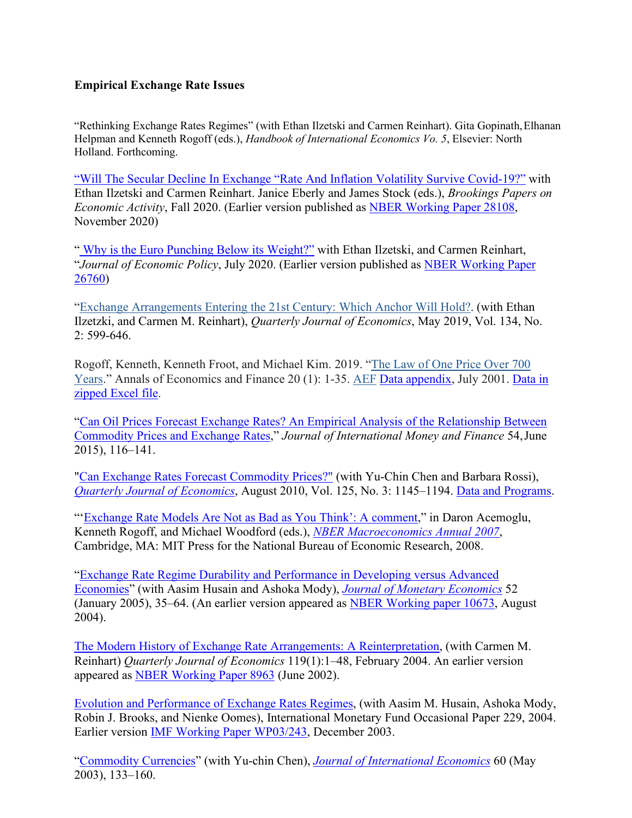#### **Empirical Exchange Rate Issues**

"Rethinking Exchange Rates Regimes" (with Ethan Ilzetski and Carmen Reinhart). Gita Gopinath,Elhanan Helpman and Kenneth Rogoff (eds.), *Handbook of International Economics Vo. 5*, Elsevier: North Holland. Forthcoming.

["Will The Secular Decline In Exchange "Rate And Inflation Volatility Survive Covid-19?"](https://scholar.harvard.edu/rogoff/publications/will-secular-decline-exchange-rate-and-inflation-volatility-survive-covid-19) with Ethan Ilzetski and Carmen Reinhart. Janice Eberly and James Stock (eds.), *Brookings Papers on Economic Activity*, Fall 2020. (Earlier version published as [NBER Working Paper 28108,](https://www.nber.org/papers/w28108) November 2020)

" [Why is the Euro Punching Below its Weight?"](https://academic.oup.com/economicpolicy/advance-article/doi/10.1093/epolic/eiaa018/5879282) with Ethan Ilzetski, and Carmen Reinhart, "*Journal of Economic Policy*, July 2020. (Earlier version published as [NBER Working Paper](https://www.nber.org/papers/w26760) [26760\)](https://www.nber.org/papers/w26760)

["Exchange Arrangements Entering the 21st Century: Which Anchor Will Hold?.](https://scholar.harvard.edu/rogoff/publications/exchange-rate-arrangement-21st-century-which-anchor-currency-will-hold) (with Ethan Ilzetzki, and Carmen M. Reinhart), *Quarterly Journal of Economics*, May 2019, Vol. 134, No. 2: 599-646.

Rogoff, Kenneth, Kenneth Froot, and Michael Kim. 2019. ["The Law of One Price Over 700](https://scholar.harvard.edu/rogoff/publications/law-one-price-over-700-years) [Years.](https://scholar.harvard.edu/rogoff/publications/law-one-price-over-700-years)" Annals of Economics and Finance 20 (1): 1-35. [AEF](http://aeconf.com/Articles/May2019/aef200101.pdf) [Data appendix,](http://scholar.harvard.edu/files/rogoff/files/lopappen.pdf) July 2001. [Data in](http://scholar.harvard.edu/files/rogoff/files/lop_data.zip) [zipped Excel file.](http://scholar.harvard.edu/files/rogoff/files/lop_data.zip)

["Can Oil Prices Forecast Exchange Rates? An Empirical Analysis of the Relationship Between](http://scholar.harvard.edu/rogoff/publications/can-Oil-Prices-Forecast-Exchange-Rates) [Commodity Prices and Exchange Rates,"](http://scholar.harvard.edu/rogoff/publications/can-Oil-Prices-Forecast-Exchange-Rates) *Journal of International Money and Finance* 54,June 2015), 116–141.

["Can Exchange Rates Forecast Commodity Prices?"](http://scholar.harvard.edu/files/rogoff/files/can_exchange_rates_forecast_commodity_prices.pdf) (with [Yu-Chin Chen a](http://www.mitpressjournals.org/action/doSearch?action=runSearch&%3Btype=advanced&%3Bresult=true&%3BprevSearch=%2Bauthorsfield%3A(Chen%2C%20Yu-Chin))nd Barbara Rossi), *[Quarterly Journal of Economics](http://www.mitpressjournals.org.ezp-prod1.hul.harvard.edu/doi/pdf/10.1162/qjec.2010.125.3.1145)*, August 2010, Vol. 125, No. 3: 1145–1194. [Data and Programs.](http://faculty.washington.edu/yuchin/Papers/CRR2014.zip)

"['Exchange Rate Models Are Not as Bad as You Think': A comment,](http://scholar.harvard.edu/files/rogoff/files/comment_on_exchange_rate_models.pdf)" in Daron Acemoglu, Kenneth Rogoff, and Michael Woodford (eds.), *[NBER Macroeconomics Annual 2007](http://papers.nber.org/books/acem07-1)*, Cambridge, MA: MIT Press for the National Bureau of Economic Research, 2008.

["Exchange Rate Regime Durability and Performance in Developing versus Advanced](http://scholar.harvard.edu/files/rogoff/files/51_jme2005.pdf) [Economies"](http://scholar.harvard.edu/files/rogoff/files/51_jme2005.pdf) (with Aasim Husain and Ashoka Mody), *[Journal of Monetary Economics](http://www.sciencedirect.com/science/article/pii/S0304393204001278)* 52 (January 2005), 35–64. (An earlier version appeared as [NBER Working paper 10673, A](http://www.nber.org/papers/w10673)ugust 2004).

[The Modern History of Exchange Rate Arrangements: A Reinterpretation,](http://scholar.harvard.edu/files/rogoff/files/51_qje2004.pdf) (with Carmen M. Reinhart) *Quarterly Journal of Economics* 119(1):1–48, February 2004. An earlier version appeared as [NBER Working Paper 8963](http://papers.nber.org/papers/W8963) (June 2002).

[Evolution and Performance of Exchange Rates Regimes,](http://scholar.harvard.edu/files/rogoff/files/51_imf_op229.pdf) (with Aasim M. Husain, Ashoka Mody, Robin J. Brooks, and Nienke Oomes), International Monetary Fund Occasional Paper 229, 2004. Earlier version [IMF Working Paper WP03/243,](http://www.imf.org/external/pubs/ft/wp/2003/wp03243.pdf) December 2003.

["Commodity Currencies"](http://scholar.harvard.edu/files/rogoff/files/51_jie2003.pdf) (with Yu-chin Chen), *[Journal of International Economics](http://www.sciencedirect.com.ezp-prod1.hul.harvard.edu/science/article/pii/S0022199602000727)* 60 (May 2003), 133–160.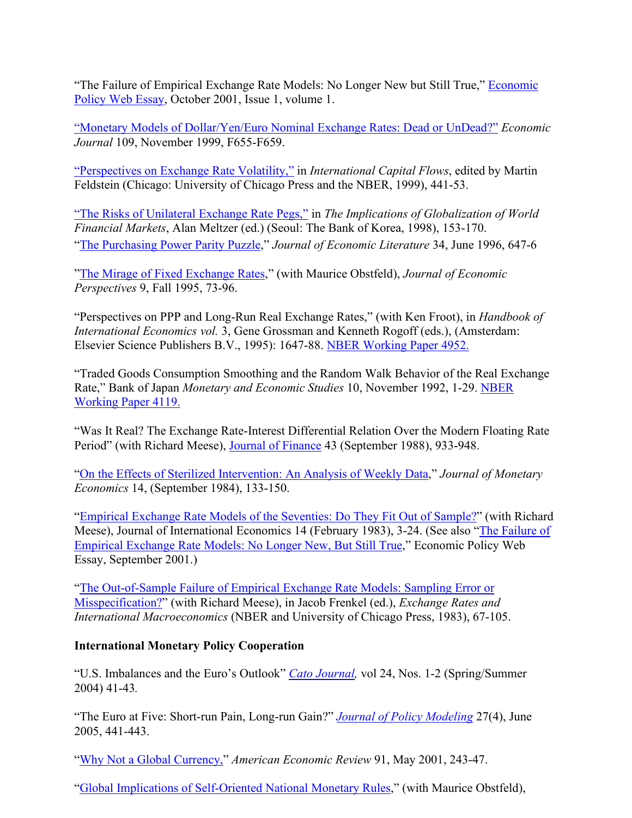"The Failure of Empirical Exchange Rate Models: No Longer New but Still True," [Economic](http://www.economic-policy.org/pdfs/responses/kenneth-rogoff.pdf) [Policy Web Essay,](http://www.economic-policy.org/pdfs/responses/kenneth-rogoff.pdf) October 2001, Issue 1, volume 1.

["Monetary Models of Dollar/Yen/Euro Nominal Exchange Rates: Dead or UnDead?"](http://scholar.harvard.edu/files/rogoff/files/monetary_modelsof_dollar_yen_euro.pdf) *Economic Journal* 109, November 1999, F655-F659.

["Perspectives on Exchange Rate Volatility,"](http://scholar.harvard.edu/files/rogoff/files/51_exchange.pdf) in *International Capital Flows*, edited by Martin Feldstein (Chicago: University of Chicago Press and the NBER, 1999), 441-53.

["The Risks of Unilateral Exchange Rate Pegs,"](http://scholar.harvard.edu/files/rogoff/files/bokpaper.pdf) in *The Implications of Globalization of World Financial Markets*, Alan Meltzer (ed.) (Seoul: The Bank of Korea, 1998), 153-170. ["The Purchasing Power Parity Puzzle,](http://scholar.harvard.edu/files/rogoff/files/51_jel1996.pdf)" *Journal of Economic Literature* 34, June 1996, 647-6

["The Mirage of Fixed Exchange Rates,"](http://scholar.harvard.edu/files/rogoff/files/51_jep1995.pdf) (with Maurice Obstfeld), *Journal of Economic Perspectives* 9, Fall 1995, 73-96.

"Perspectives on PPP and Long-Run Real Exchange Rates," (with Ken Froot), in *Handbook of International Economics vol.* 3, Gene Grossman and Kenneth Rogoff (eds.), (Amsterdam: Elsevier Science Publishers B.V., 1995): 1647-88. [NBER Working Paper 4952.](http://www.nber.org/papers/W4952)

"Traded Goods Consumption Smoothing and the Random Walk Behavior of the Real Exchange Rate," Bank of Japan *Monetary and Economic Studies* 10, November 1992, 1-29. [NBER](http://www.nber.org/papers/W4119) [Working Paper 4119.](http://www.nber.org/papers/W4119)

"Was It Real? The Exchange Rate-Interest Differential Relation Over the Modern Floating Rate Period" (with Richard Meese), [Journal of Finance](http://www.jstor.org/stable/2328144) 43 (September 1988), 933-948.

["On the Effects of Sterilized Intervention: An Analysis of Weekly Data,"](http://scholar.harvard.edu/files/rogoff/files/51_jme1984.pdf) *Journal of Monetary Economics* 14, (September 1984), 133-150.

["Empirical Exchange Rate Models of the Seventies: Do They Fit Out of Sample?"](http://scholar.harvard.edu/files/rogoff/files/51_jie1983.pdf) (with Richard Meese), Journal of International Economics 14 (February 1983), 3-24. (See also ["The Failure of](http://scholar.harvard.edu/files/rogoff/files/51_web2001.pdf) [Empirical Exchange Rate Models: No Longer New, But Still True,](http://scholar.harvard.edu/files/rogoff/files/51_web2001.pdf)" Economic Policy Web Essay, September 2001.)

["The Out-of-Sample Failure of Empirical Exchange Rate Models: Sampling Error or](http://scholar.harvard.edu/files/rogoff/files/the_out_of_sample_failure.pdf) [Misspecification?"](http://scholar.harvard.edu/files/rogoff/files/the_out_of_sample_failure.pdf) (with Richard Meese), in Jacob Frenkel (ed.), *Exchange Rates and International Macroeconomics* (NBER and University of Chicago Press, 1983), 67-105.

#### **International Monetary Policy Cooperation**

"U.S. Imbalances and the Euro's Outlook" *[Cato Journal,](http://www.cato.org/pubs/journal/cj24n1-2/cj24n1-2-5.pdf)* vol 24, Nos. 1-2 (Spring/Summer 2004) 41-43*.*

"The Euro at Five: Short-run Pain, Long-run Gain?" *[Journal of Policy Modeling](http://www.sciencedirect.com.ezp-prod1.hul.harvard.edu/science/article/pii/S0161893805000438)* 27(4), June 2005, 441-443.

["Why Not a Global Currency,"](http://scholar.harvard.edu/files/rogoff/files/why_not_a_global_currency.pdf) *American Economic Review* 91, May 2001, 243-47.

["Global Implications of Self-Oriented National Monetary Rules,](http://scholar.harvard.edu/files/rogoff/files/51_qje2002.pdf)" (with Maurice Obstfeld),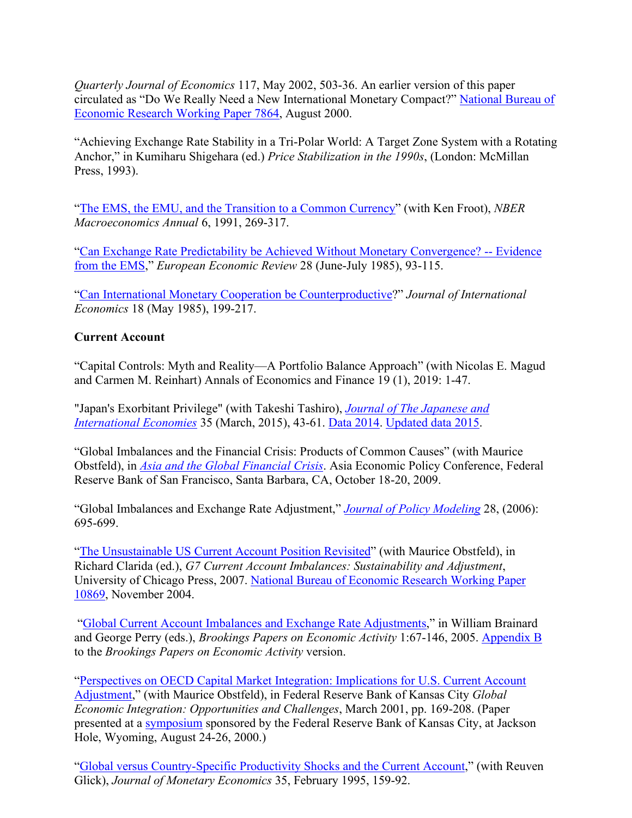*Quarterly Journal of Economics* 117, May 2002, 503-36. An earlier version of this paper circulated as "Do We Really Need a New International Monetary Compact?" [National Bureau of](http://papers.nber.org/papers/W7864) [Economic Research Working Paper 7864,](http://papers.nber.org/papers/W7864) August 2000.

"Achieving Exchange Rate Stability in a Tri-Polar World: A Target Zone System with a Rotating Anchor," in Kumiharu Shigehara (ed.) *Price Stabilization in the 1990s*, (London: McMillan Press, 1993).

["The EMS, the EMU, and the Transition to a Common Currency"](http://scholar.harvard.edu/files/rogoff/files/51_nber1991.pdf) (with Ken Froot), *NBER Macroeconomics Annual* 6, 1991, 269-317.

["Can Exchange Rate Predictability be Achieved Without Monetary Convergence? --](http://scholar.harvard.edu/files/rogoff/files/eer1985.pdf) Evidence [from the EMS,"](http://scholar.harvard.edu/files/rogoff/files/eer1985.pdf) *European Economic Review* 28 (June-July 1985), 93-115.

["Can International Monetary Cooperation be Counterproductive?](http://scholar.harvard.edu/files/rogoff/files/51_jie1985.pdf)" *Journal of International Economics* 18 (May 1985), 199-217.

#### **Current Account**

"Capital Controls: Myth and Reality—A Portfolio Balance Approach" (with Nicolas E. Magud and Carmen M. Reinhart) Annals of Economics and Finance 19 (1), 2019: 1-47.

"Japan's Exorbitant Privilege" (with Takeshi Tashiro), *[Journal of The Japanese and](http://doi.org/10.1016/j.jjie.2014.11.003) [International Economies](http://doi.org/10.1016/j.jjie.2014.11.003)* 35 (March, 2015), 43-61. [Data 2014.](http://scholar.harvard.edu/files/rogoff/files/privilege_paper_dataset_nov_15_2014.xlsx) [Updated data 2015.](http://scholar.harvard.edu/files/rogoff/files/update_privilege_paper_dataset_may_2015_tables_1_3.xlsx)

"Global Imbalances and the Financial Crisis: Products of Common Causes" (with Maurice Obstfeld), in *[Asia and the Global Financial Crisis](http://www.frbsf.org/economic-research/events/2009/october/asia-global-financial-crisis/)*. Asia Economic Policy Conference, Federal Reserve Bank of San Francisco, Santa Barbara, CA, October 18-20, 2009.

"Global Imbalances and Exchange Rate Adjustment," *Journal of Policy Modeling* 28, (2006): 695-699.

["The Unsustainable US Current Account Position Revisited"](http://scholar.harvard.edu/files/rogoff/files/unsustainable_nov_2005.pdf) (with Maurice Obstfeld), in Richard Clarida (ed.), *G7 Current Account Imbalances: Sustainability and Adjustment*, University of Chicago Press, 2007. [National Bureau of Economic Research Working Paper](http://papers.nber.org/papers/W10869) [10869,](http://papers.nber.org/papers/W10869) November 2004.

["Global Current Account Imbalances and Exchange Rate Adjustments,"](http://scholar.harvard.edu/files/rogoff/files/bpea2005.pdf) in William Brainard and George Perry (eds.), *Brookings Papers on Economic Activity* 1:67-146, 2005. [Appendix B](http://scholar.harvard.edu/files/rogoff/files/bpea2005_appendixb.pdf) to the *Brookings Papers on Economic Activity* version.

["Perspectives on OECD Capital Market Integration: Implications for U.S. Current Account](http://www.kc.frb.org/PUBLICAT/SYMPOS/2000/S00rogo.pdf) [Adjustment,](http://www.kc.frb.org/PUBLICAT/SYMPOS/2000/S00rogo.pdf)" (with Maurice Obstfeld), in Federal Reserve Bank of Kansas City *Global Economic Integration: Opportunities and Challenges*, March 2001, pp. 169-208. (Paper presented at a [symposium](http://www.kansascityfed.org/publications/research/escp/escp-2000.cfm) sponsored by the Federal Reserve Bank of Kansas City, at Jackson Hole, Wyoming, August 24-26, 2000.)

["Global versus Country-Specific Productivity Shocks and the Current Account,](http://scholar.harvard.edu/files/rogoff/files/51_jme1995.pdf)" (with Reuven Glick), *Journal of Monetary Economics* 35, February 1995, 159-92.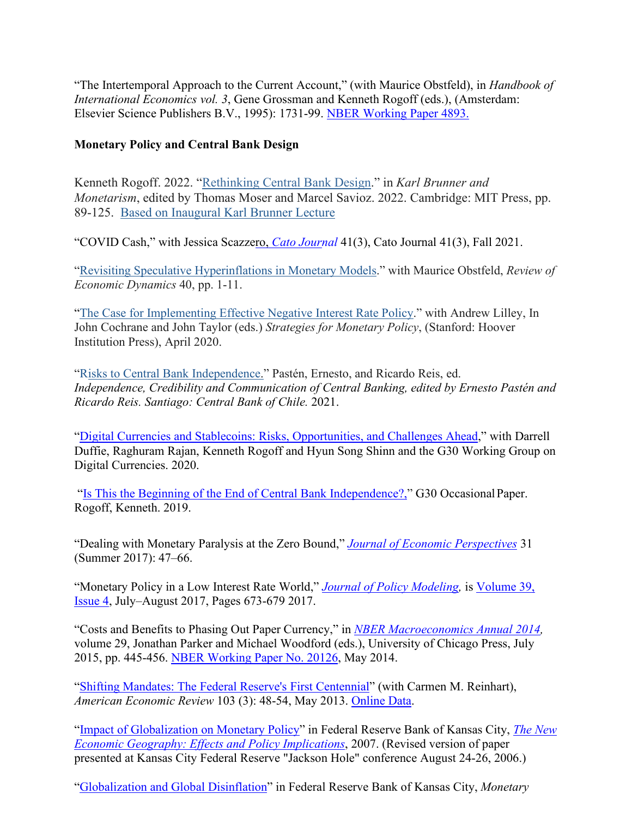"The Intertemporal Approach to the Current Account," (with Maurice Obstfeld), in *Handbook of International Economics vol. 3*, Gene Grossman and Kenneth Rogoff (eds.), (Amsterdam: Elsevier Science Publishers B.V., 1995): 1731-99. [NBER Working Paper 4893.](http://www.nber.org/papers/W4893)

#### **Monetary Policy and Central Bank Design**

Kenneth Rogoff. 2022. ["Rethinking](https://scholar.harvard.edu/rogoff/publications/rethinking-central-bank-design) Central Bank Design." in *Karl Brunner and Monetarism*, edited by Thomas Moser and Marcel Savioz. 2022. Cambridge: MIT Press, pp. 89-125. Based on [Inaugural](https://scholar.harvard.edu/files/rogoff/files/rogoff_brunner_lecture_v_october_2_2016.pdf) Karl Brunner Lecture

"COVID Cash," with Jessica Scazzero, *[Cato Journ](https://www.alt-m.org/2021/02/12/covid-cash-cmfa-working-paper-no-002/)al* 41(3), Cato Journal 41(3), Fall 2021.

["Revisiting Speculative Hyperinflations in Monetary Models.](https://scholar.harvard.edu/rogoff/publications/revisiting-speculative-hyperinflations-monetary-models-reply-cochrane)" with Maurice Obstfeld, *Review of Economic Dynamics* 40, pp. 1-11.

["The Case for Implementing Effective Negative Interest Rate Policy.](https://www.hoover.org/sites/default/files/chapter_2.pdf)" with Andrew Lilley, In John Cochrane and John Taylor (eds.) *Strategies for Monetary Policy*, (Stanford: Hoover Institution Press), April 2020.

["Risks to Central Bank Independence."](https://scholar.harvard.edu/rogoff/publications/risks-central-bank-independence) Pastén, Ernesto, and Ricardo Reis, ed. *Independence, Credibility and Communication of Central Banking, edited by Ernesto Pastén and Ricardo Reis. Santiago: Central Bank of Chile.* 2021.

["Digital Currencies and Stablecoins: Risks, Opportunities, and Challenges Ahead,](https://group30.org/images/uploads/publications/G30_Digital_Currencies.pdf)" with Darrell Duffie, Raghuram Rajan, Kenneth Rogoff and Hyun Song Shinn and the G30 Working Group on Digital Currencies. 2020.

["Is This the Beginning of the End of Central Bank Independence?," G](https://scholar.harvard.edu/rogoff/publications/beginning-end-central-bank-independence)30 OccasionalPaper. Rogoff, Kenneth. 2019.

"Dealing with Monetary Paralysis at the Zero Bound," *Journal of Economic Perspectives* 31 (Summer 2017): 47–66.

"Monetary Policy in a Low Interest Rate World," *[Journal of Policy Modeling,](http://dx.doi.org/10.1016/j.jpolmod.2017.05.014)* is [Volume 39,](https://www.sciencedirect.com/journal/journal-of-policy-modeling/vol/39/issue/4) [Issue 4,](https://www.sciencedirect.com/journal/journal-of-policy-modeling/vol/39/issue/4) July–August 2017, Pages 673-679 2017.

"Costs and Benefits to Phasing Out Paper Currency," in *[NBER Macroeconomics Annual 2014,](http://www.nber.org/chapters/c13431.pdf)*  volume 29, Jonathan Parker and Michael Woodford (eds.), University of Chicago Press, July 2015, pp. 445-456. [NBER Working Paper No. 20126,](http://www.nber.org/papers/w20126) May 2014.

["Shifting Mandates: The Federal Reserve's First Centennial"](http://scholar.harvard.edu/files/rogoff/files/shifting_mandates_aer.pdf) (with Carmen M. Reinhart), *American Economic Review* 103 (3): 48-54, May 2013. [Online Data.](https://www.aeaweb.org/aer/data/may2013/P2013_4410_data.zip)

["Impact of Globalization on Monetary Policy"](http://www.kc.frb.org/PUBLICAT/SYMPOS/2006/pdf/rogoff.paper.0829.pdf) in Federal Reserve Bank of Kansas City, *[The New](http://www.kansascityfed.org/publications/research/escp/escp-2006.cfm) [Economic Geography: Effects and Policy Implications](http://www.kansascityfed.org/publications/research/escp/escp-2006.cfm)*, 2007. (Revised version of paper presented at Kansas City Federal Reserve "Jackson Hole" conference August 24-26, 2006.)

["Globalization and Global Disinflation" i](http://www.kc.frb.org/Publicat/sympos/2003/pdf/Rogoff.0910.2003.pdf)n Federal Reserve Bank of Kansas City, *Monetary*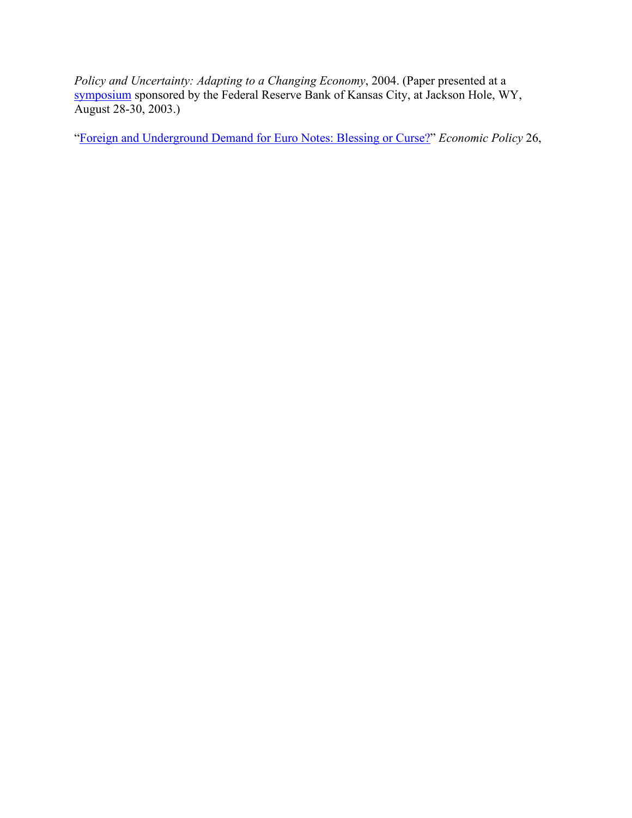*Policy and Uncertainty: Adapting to a Changing Economy*, 2004. (Paper presented at a [symposium](http://www.kansascityfed.org/publications/research/escp/escp-2003.cfm) sponsored by the Federal Reserve Bank of Kansas City, at Jackson Hole, WY, August 28-30, 2003.)

["Foreign and Underground Demand for Euro Notes: Blessing or Curse?"](http://scholar.harvard.edu/files/rogoff/files/ep_1998.pdf) *Economic Policy* 26,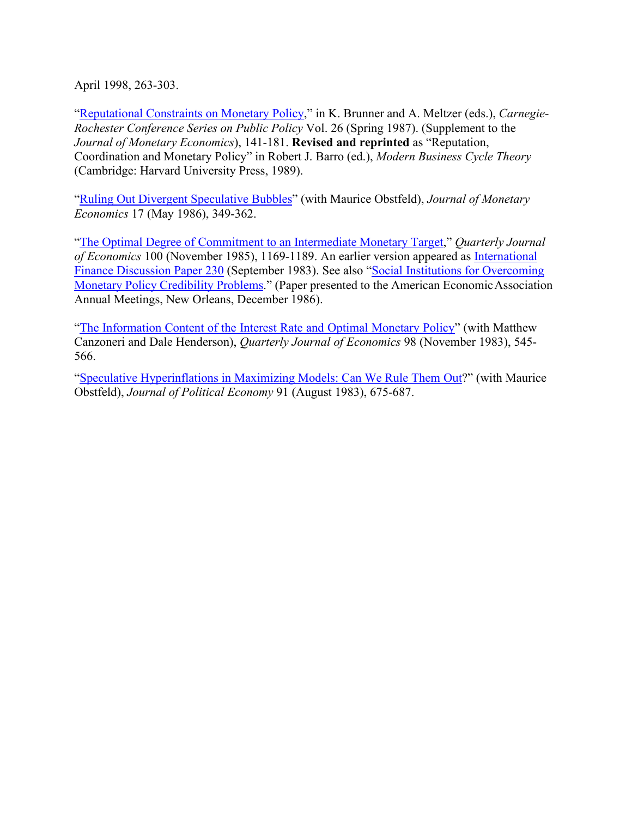April 1998, 263-303.

["Reputational Constraints on Monetary Policy,"](http://scholar.harvard.edu/files/rogoff/files/51_cr1987.pdf) in K. Brunner and A. Meltzer (eds.), *Carnegie-Rochester Conference Series on Public Policy* Vol. 26 (Spring 1987). (Supplement to the *Journal of Monetary Economics*), 141-181. **Revised and reprinted** as "Reputation, Coordination and Monetary Policy" in Robert J. Barro (ed.), *Modern Business Cycle Theory*  (Cambridge: Harvard University Press, 1989).

["Ruling Out Divergent Speculative Bubbles"](http://scholar.harvard.edu/files/rogoff/files/51_jme1986.pdf) (with Maurice Obstfeld), *Journal of Monetary Economics* 17 (May 1986), 349-362.

["The Optimal Degree of Commitment to an Intermediate Monetary Target,](http://scholar.harvard.edu/files/rogoff/files/51_qje85.pdf)" *Quarterly Journal of Economics* 100 (November 1985), 1169-1189. An earlier version appeared as [International](http://scholar.harvard.edu/files/rogoff/files/international_finance_disc_paper_230.pdf) [Finance Discussion Paper 230](http://scholar.harvard.edu/files/rogoff/files/international_finance_disc_paper_230.pdf) (September 1983). See also ["Social Institutions for Overcoming](http://scholar.harvard.edu/files/rogoff/files/social_institutions.pdf) Monetary Policy [Credibility](http://scholar.harvard.edu/files/rogoff/files/social_institutions.pdf) Problems." (Paper presented to the American EconomicAssociation Annual Meetings, New Orleans, December 1986).

["The Information Content of the Interest Rate and Optimal Monetary Policy"](http://scholar.harvard.edu/files/rogoff/files/51_qje83.pdf) (with Matthew Canzoneri and Dale Henderson), *Quarterly Journal of Economics* 98 (November 1983), 545- 566.

["Speculative Hyperinflations in Maximizing Models: Can We Rule Them Out?](http://scholar.harvard.edu/files/rogoff/files/51_jpe83.pdf)" (with Maurice Obstfeld), *Journal of Political Economy* 91 (August 1983), 675-687.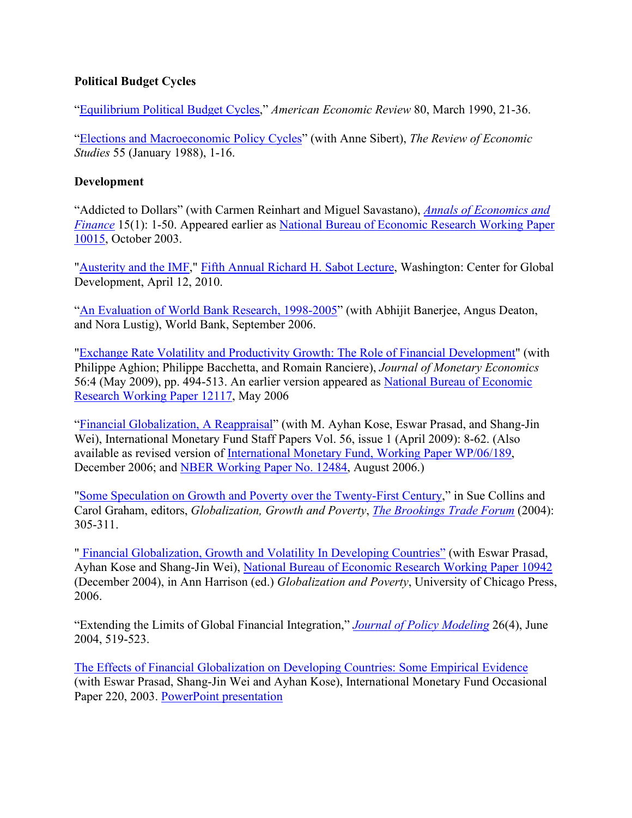#### **Political Budget Cycles**

["Equilibrium Political Budget Cycles,"](http://scholar.harvard.edu/files/rogoff/files/aer1990a.pdf) *American Economic Review* 80, March 1990, 21-36.

["Elections and Macroeconomic Policy Cycles"](http://scholar.harvard.edu/files/rogoff/files/elections_and_macroeconomic_policy_cycles.pdf) (with Anne Sibert), *The Review of Economic Studies* 55 (January 1988), 1-16.

#### **Development**

"Addicted to Dollars" (with Carmen Reinhart and Miguel Savastano), *[Annals of Economics and](http://www.aeconf.net/index.htm) [Finance](http://www.aeconf.net/index.htm)* 15(1): 1-50. Appeared earlier as [National Bureau of Economic Research Working Paper](http://papers.nber.org/papers/W10015) [10015,](http://papers.nber.org/papers/W10015) October 2003.

["Austerity and the IMF,"](http://scholar.harvard.edu/files/rogoff/files/sabot_2010_rogoff_final.pdf) [Fifth Annual Richard H. Sabot Lecture, W](http://www.cgdev.org/section/about/sabot)ashington: Center for Global Development, April 12, 2010.

["An Evaluation of World Bank Research, 1998-2005"](http://scholar.harvard.edu/files/rogoff/files/an_evaluation_of_world_bank_research_1998-2005.pdf) (with Abhijit Banerjee, Angus Deaton, and Nora Lustig), World Bank, September 2006.

["Exchange Rate Volatility and Productivity Growth: The Role of Financial Development"](http://scholar.harvard.edu/files/rogoff/files/exchange_rate_volatility_1.pdf) (with Philippe Aghion; Philippe Bacchetta, and Romain Ranciere), *Journal of Monetary Economics*  56:4 (May 2009), pp. 494-513. An earlier version appeared as [National Bureau of Economic](http://papers.nber.org/papers/W12117) [Research Working Paper 12117,](http://papers.nber.org/papers/W12117) May 2006

["Financial Globalization, A Reappraisal"](http://www.palgrave-journals.com/imfsp/journal/v56/n1/index.html) (with M. Ayhan Kose, Eswar Prasad, and Shang-Jin Wei), International Monetary Fund Staff Papers Vol. 56, issue 1 (April 2009): 8-62. (Also available as revised version of [International Monetary Fund, Working Paper WP/06/189,](http://www.imf.org/external/pubs/ft/wp/2006/wp06189.pdf) December 2006; and [NBER Working Paper No. 12484,](http://www.nber.org/papers/w12484) August 2006.)

["Some Speculation on Growth and Poverty over the Twenty-First Century,](http://scholar.harvard.edu/files/rogoff/files/btf2004_0.pdf)" in Sue Collins and Carol Graham, editors, *Globalization, Growth and Poverty*, *[The Brookings Trade Forum](http://muse.jhu.edu.ezp1.harvard.edu/journals/btf/)* (2004): 305-311.

" [Financial Globalization, Growth and Volatility In Developing Countries"](http://www.palgrave-journals.com/imfsp/journal/v56/n1/index.html) (with Eswar Prasad, Ayhan Kose and Shang-Jin Wei), [National Bureau of Economic Research Working Paper 10942](http://papers.nber.org/papers/w10942) (December 2004), in Ann Harrison (ed.) *Globalization and Poverty*, University of Chicago Press, 2006.

"Extending the Limits of Global Financial Integration," *[Journal of Policy Modeling](http://www.sciencedirect.com/science/article/pii/S0161893804000547)* 26(4), June 2004, 519-523.

[The Effects of Financial Globalization on Developing Countries: Some Empirical Evidence](http://scholar.harvard.edu/files/rogoff/files/imf_op220.pdf) (with Eswar Prasad, Shang-Jin Wei and Ayhan Kose), International Monetary Fund Occasional Paper 220, 2003. [PowerPoint presentation](http://scholar.harvard.edu/files/rogoff/files/03_08_04_Financial_Globalization.ppt)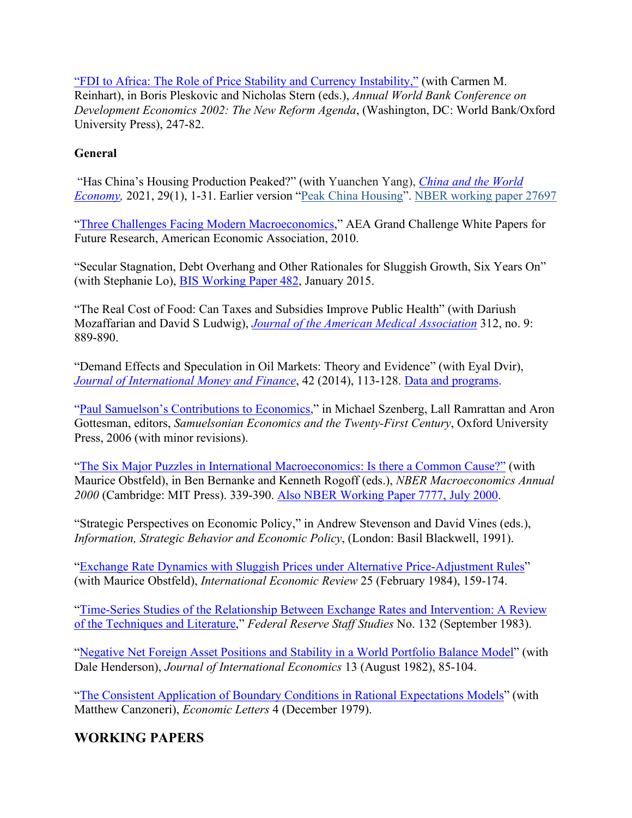["FDI to Africa: The Role of Price Stability and Currency Instability,"](http://www.imf.org/external/pubs/ft/wp/2003/fdi_to_africa.pdf) (with Carmen M. Reinhart), in Boris Pleskovic and Nicholas Stern (eds.), *Annual World Bank Conference on Development Economics 2002: The New Reform Agenda*, (Washington, DC: World Bank/Oxford University Press), 247-82.

#### **General**

"Has China's Housing Production Peaked?" (with Yuanchen Yang), *[China and the World](https://scholar.harvard.edu/rogoff/publications/peak-china-housing) [Economy,](https://scholar.harvard.edu/rogoff/publications/peak-china-housing)* 2021, 29(1), 1-31. Earlier version ["Peak China Housing"](https://scholar.harvard.edu/rogoff/publications/peak-china-housing). [NBER working paper 27697](https://scholar.harvard.edu/files/rogoff/files/nber_27697_peak_china_housing_1.pdf)

["Three Challenges Facing Modern Macroeconomics,"](http://www.nsf.gov/sbe/sbe_2020/submission_detail.cfm?upld_id=52) AEA Grand Challenge White Papers for Future Research, American Economic Association, 2010.

"Secular Stagnation, Debt Overhang and Other Rationales for Sluggish Growth, Six Years On" (with Stephanie Lo), [BIS Working Paper 482,](http://www.bis.org/publ/work482.htm) January 2015.

"The Real Cost of Food: Can Taxes and Subsidies Improve Public Health" (with Dariush Mozaffarian and David S Ludwig), *[Journal of the American Medical Association](http://jama.jamanetwork.com.ezp-prod1.hul.harvard.edu/article.aspx?articleid=1900518)* 312, no. 9: 889-890.

"Demand Effects and Speculation in Oil Markets: Theory and Evidence" (with Eyal Dvir), *[Journal of International Money and Finance](http://www.sciencedirect.com/science/journal/02615606/42)*, 42 (2014), 113-128. [Data and programs.](http://scholar.harvard.edu/files/rogoff/files/dvir_rogoff_data_and_programs.pdf)

["Paul Samuelson's Contributions to Economics,](http://scholar.harvard.edu/files/rogoff/files/samuelson.pdf)" in Michael Szenberg, Lall Ramrattan and Aron Gottesman, editors, *Samuelsonian Economics and the Twenty-First Century*, Oxford University Press, 2006 (with minor revisions).

["The Six Major Puzzles in International Macroeconomics: Is there a Common Cause?"](http://scholar.harvard.edu/files/rogoff/files/nber2000.pdf) (with Maurice Obstfeld), in Ben Bernanke and Kenneth Rogoff (eds.), *NBER Macroeconomics Annual 2000* (Cambridge: MIT Press). 339-390. [Also NBER Working Paper 7777, July 2000.](http://papers.nber.org/papers/W7777)

"Strategic Perspectives on Economic Policy," in Andrew Stevenson and David Vines (eds.), *Information, Strategic Behavior and Economic Policy*, (London: Basil Blackwell, 1991).

["Exchange Rate Dynamics with Sluggish Prices under Alternative Price-Adjustment Rules"](http://scholar.harvard.edu/files/rogoff/files/exchange_rate_dynamics_with_sluggish_prices.pdf) (with Maurice Obstfeld), *International Economic Review* 25 (February 1984), 159-174.

["Time-Series Studies of the Relationship Between Exchange Rates and Intervention: A Review](http://scholar.harvard.edu/files/rogoff/files/frb1983.pdf) [of the Techniques and Literature,"](http://scholar.harvard.edu/files/rogoff/files/frb1983.pdf) *Federal Reserve Staff Studies* No. 132 (September 1983).

["Negative Net Foreign Asset Positions and Stability in a World Portfolio Balance Model"](http://scholar.harvard.edu/files/rogoff/files/jie1982.pdf) (with Dale Henderson), *Journal of International Economics* 13 (August 1982), 85-104.

["The Consistent Application of Boundary Conditions in Rational Expectations Models"](http://scholar.harvard.edu/files/rogoff/files/el1979.pdf) (with Matthew Canzoneri), *Economic Letters* 4 (December 1979).

## **WORKING PAPERS**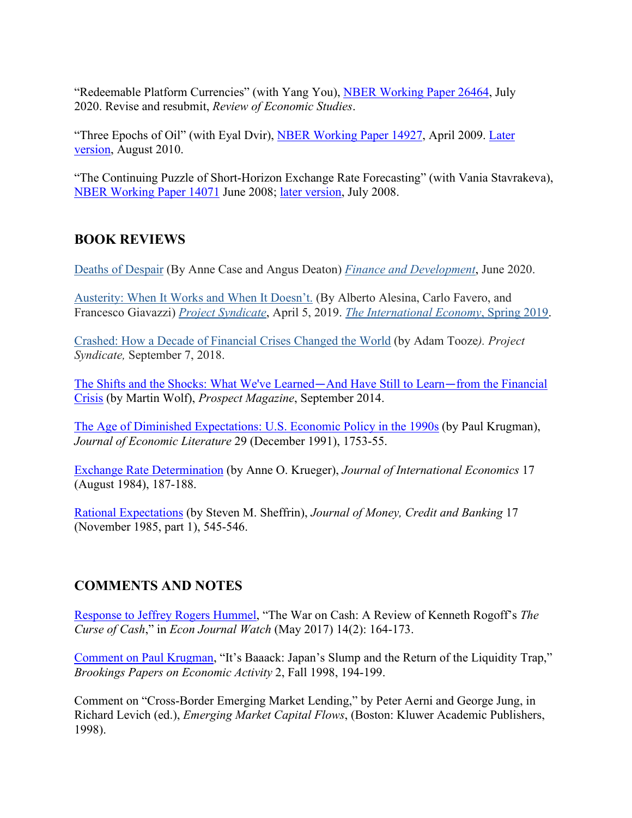"Redeemable Platform Currencies" (with Yang You), [NBER Working Paper 26464,](https://www.nber.org/papers/w26464) July 2020. Revise and resubmit, *Review of Economic Studies*.

"Three Epochs of Oil" (with Eyal Dvir), [NBER Working Paper 14927, A](http://www.nber.org/papers/w14927)pril 2009. [Later](http://scholar.harvard.edu/files/rogoff/files/three_epochs_of_oil.pdf) [version, A](http://scholar.harvard.edu/files/rogoff/files/three_epochs_of_oil.pdf)ugust 2010.

"The Continuing Puzzle of Short-Horizon Exchange Rate Forecasting" (with Vania Stavrakeva), [NBER Working Paper 14071](http://www.nber.org/papers/w14071) June 2008; [later version,](http://scholar.harvard.edu/files/rogoff/files/exchange_rate_forecasting.pdf) July 2008.

## **BOOK REVIEWS**

[Deaths of Despair](https://scholar.harvard.edu/rogoff/publications/review-deaths-despair-anne-case-and-angus-deaton) (By Anne Case and Angus Deaton) *[Finance and Development](https://www.imf.org/external/pubs/ft/fandd/2020/06/book-review-deaths-of-despair-and-the-future-of-capitalism.htm)*, June 2020.

[Austerity: When It Works and When It Doesn't.](https://scholar.harvard.edu/rogoff/publications/austerity-chronicles-review-alberto-alesina-carlo-favero-and-francesco-giavazzi) (By Alberto Alesina, Carlo Favero, and Francesco Giavazzi) *[Project Syndicate](https://www.project-syndicate.org/commentary/federal-reserve-modern-monetary-theory-dangers-by-kenneth-rogoff-2019-03)*, April 5, 2019. *[The International Economy](https://scholar.harvard.edu/files/rogoff/files/austerity_review_international_economy_magazine_spring_2019.pdf)*, Spring 2019.

[Crashed: How a Decade of Financial Crises Changed the World](https://scholar.harvard.edu/rogoff/publications/%E2%80%9Ccrash-time%E2%80%9D-project-syndicatehandelsblattel-pais) (by Adam Tooze*). Project Syndicate,* September 7, 2018.

[The Shifts and the Shocks: What We've Learned](http://www.prospectmagazine.co.uk/features/how-to-prevent-martin-wolf-shifts-shocks-review-the-next-financial-crisis)—And Have Still to Learn—from the Financial [Crisis](http://www.prospectmagazine.co.uk/features/how-to-prevent-martin-wolf-shifts-shocks-review-the-next-financial-crisis) (by Martin Wolf), *Prospect Magazine*, September 2014.

[The Age of Diminished Expectations: U.S. Economic Policy in the 1990s](http://scholar.harvard.edu/files/rogoff/files/51_jel1991_br.pdf) (by Paul Krugman), *Journal of Economic Literature* 29 (December 1991), 1753-55.

[Exchange Rate Determination](http://scholar.harvard.edu/files/rogoff/files/51_jie1984.pdf) (by Anne O. Krueger), *Journal of International Economics* 17 (August 1984), 187-188.

[Rational Expectations](http://scholar.harvard.edu/files/rogoff/files/51_jmcb1985.pdf) (by Steven M. Sheffrin), *Journal of Money, Credit and Banking* 17 (November 1985, part 1), 545-546.

## **COMMENTS AND NOTES**

[Response to Jeffrey Rogers Hummel,](https://econjwatch.org/articles/response-to-jeffrey-rogers-hummel-s-review-of-the-curse-of-cash) "The War on Cash: A Review of Kenneth Rogoff's *The Curse of Cash*," in *Econ Journal Watch* (May 2017) 14(2): 164-173.

[Comment on Paul Krugman,](http://scholar.harvard.edu/files/rogoff/files/51_bpea1998.pdf) "It's Baaack: Japan's Slump and the Return of the Liquidity Trap," *Brookings Papers on Economic Activity* 2, Fall 1998, 194-199.

Comment on "Cross-Border Emerging Market Lending," by Peter Aerni and George Jung, in Richard Levich (ed.), *Emerging Market Capital Flows*, (Boston: Kluwer Academic Publishers, 1998).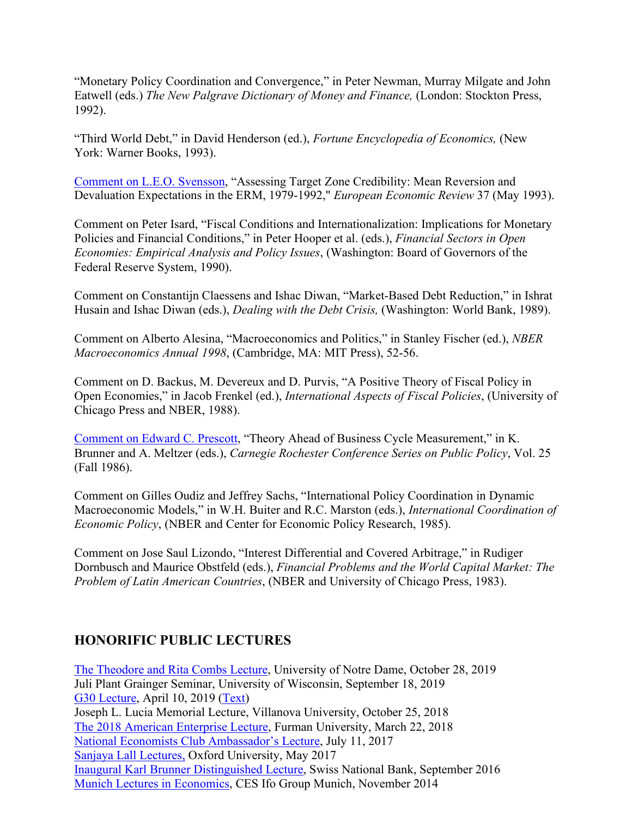"Monetary Policy Coordination and Convergence," in Peter Newman, Murray Milgate and John Eatwell (eds.) *The New Palgrave Dictionary of Money and Finance,* (London: Stockton Press, 1992).

"Third World Debt," in David Henderson (ed.), *Fortune Encyclopedia of Economics,* (New York: Warner Books, 1993).

[Comment on L.E.O. Svensson,](http://scholar.harvard.edu/files/rogoff/files/51_eer1993.pdf) "Assessing Target Zone Credibility: Mean Reversion and Devaluation Expectations in the ERM, 1979-1992," *European Economic Review* 37 (May 1993).

Comment on Peter Isard, "Fiscal Conditions and Internationalization: Implications for Monetary Policies and Financial Conditions," in Peter Hooper et al. (eds.), *Financial Sectors in Open Economies: Empirical Analysis and Policy Issues*, (Washington: Board of Governors of the Federal Reserve System, 1990).

Comment on Constantijn Claessens and Ishac Diwan, "Market-Based Debt Reduction," in Ishrat Husain and Ishac Diwan (eds.), *Dealing with the Debt Crisis,* (Washington: World Bank, 1989).

Comment on Alberto Alesina, "Macroeconomics and Politics," in Stanley Fischer (ed.), *NBER Macroeconomics Annual 1998*, (Cambridge, MA: MIT Press), 52-56.

Comment on D. Backus, M. Devereux and D. Purvis, "A Positive Theory of Fiscal Policy in Open Economies," in Jacob Frenkel (ed.), *International Aspects of Fiscal Policies*, (University of Chicago Press and NBER, 1988).

[Comment on Edward C. Prescott,](http://scholar.harvard.edu/files/rogoff/files/51_cr1986.pdf) "Theory Ahead of Business Cycle Measurement," in K. Brunner and A. Meltzer (eds.), *Carnegie Rochester Conference Series on Public Policy*, Vol. 25 (Fall 1986).

Comment on Gilles Oudiz and Jeffrey Sachs, "International Policy Coordination in Dynamic Macroeconomic Models," in W.H. Buiter and R.C. Marston (eds.), *International Coordination of Economic Policy*, (NBER and Center for Economic Policy Research, 1985).

Comment on Jose Saul Lizondo, "Interest Differential and Covered Arbitrage," in Rudiger Dornbusch and Maurice Obstfeld (eds.), *Financial Problems and the World Capital Market: The Problem of Latin American Countries*, (NBER and University of Chicago Press, 1983).

## **HONORIFIC PUBLIC LECTURES**

[The Theodore and Rita Combs Lecture,](https://al.nd.edu/news/events/2019/10/28/macro-seminar-combs-lecture-ken-rogoff/) University of Notre Dame, October 28, 2019 Juli Plant Grainger Seminar, University of Wisconsin, September 18, 2019 [G30 Lecture, A](https://www.youtube.com/watch?v=AA5NSgGAv50)pril 10, 2019 [\(Text\)](https://scholar.harvard.edu/files/rogoff/files/g30_centralbankindependence.pdf) Joseph L. Lucia Memorial Lecture, Villanova University, October 25, 2018 [The 2018 American Enterprise Lecture, F](http://www.furman.edu/academics/economics/Events/Pages/AmericanEnterpriseLecture.aspx)urman University, March 22, 2018 [National Economists Club Ambassador's Lecture, J](https://www.national-economists.org/nec-events/)uly 11, 2017 [Sanjaya Lall Lectures,](https://www.economics.ox.ac.uk/General-News/sanjaya-lall-public-lecture-2017) Oxford University, May 2017 [Inaugural Karl Brunner Distinguished Lecture,](http://www.snb.ch/en/ifor/research/researchtv/id/research_tv_archiv) Swiss National Bank, September 2016 [Munich Lectures in Economics,](https://www.cesifo-group.de/ifoHome/events/lectures/Munich-Lectures-in-Economics.html) CES Ifo Group Munich, November 2014